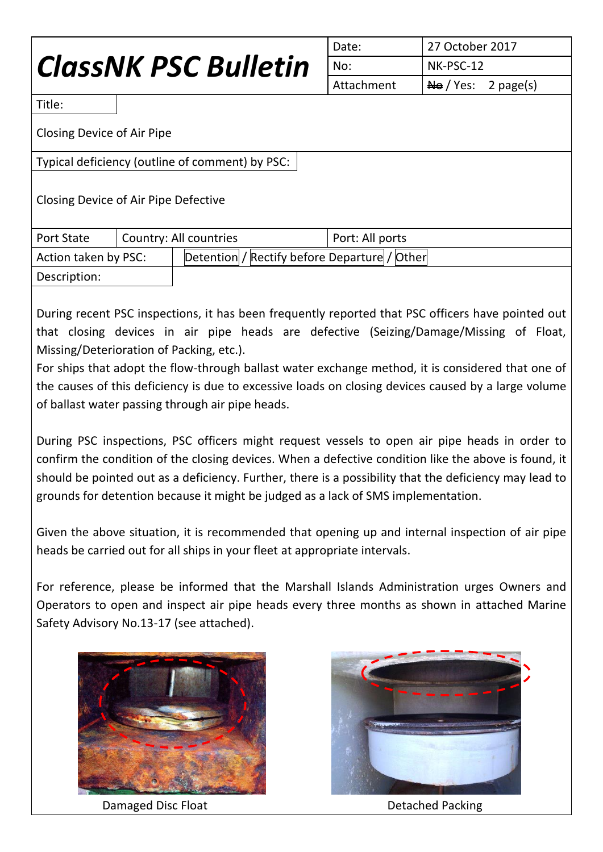# *ClassNK PSC Bulletin*

| Date:      | 27 October 2017                         |  |
|------------|-----------------------------------------|--|
| No:        | NK-PSC-12                               |  |
| Attachment | $\overline{\text{Ne}}$ / Yes: 2 page(s) |  |

Title:

Closing Device of Air Pipe

Typical deficiency (outline of comment) by PSC:

Closing Device of Air Pipe Defective

| <b>Port State</b>    | Country: All countries |                                              | Port: All ports |
|----------------------|------------------------|----------------------------------------------|-----------------|
| Action taken by PSC: |                        | Detention / Rectify before Departure / Other |                 |
| Description:         |                        |                                              |                 |

During recent PSC inspections, it has been frequently reported that PSC officers have pointed out that closing devices in air pipe heads are defective (Seizing/Damage/Missing of Float, Missing/Deterioration of Packing, etc.).

For ships that adopt the flow-through ballast water exchange method, it is considered that one of the causes of this deficiency is due to excessive loads on closing devices caused by a large volume of ballast water passing through air pipe heads.

During PSC inspections, PSC officers might request vessels to open air pipe heads in order to confirm the condition of the closing devices. When a defective condition like the above is found, it should be pointed out as a deficiency. Further, there is a possibility that the deficiency may lead to grounds for detention because it might be judged as a lack of SMS implementation.

Given the above situation, it is recommended that opening up and internal inspection of air pipe heads be carried out for all ships in your fleet at appropriate intervals.

For reference, please be informed that the Marshall Islands Administration urges Owners and Operators to open and inspect air pipe heads every three months as shown in attached Marine Safety Advisory No.13-17 (see attached).



Damaged Disc Float **Detached Packing** 

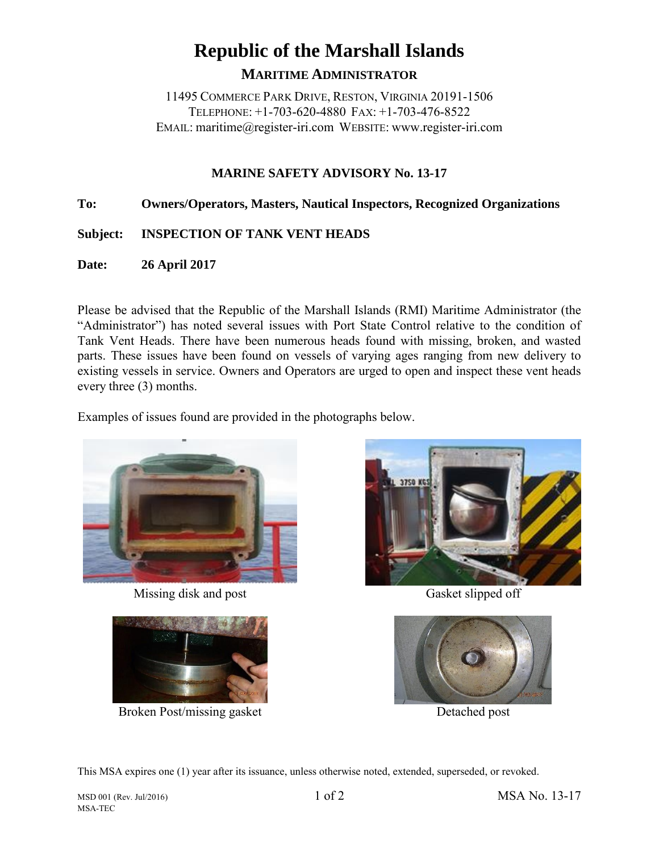# **Republic of the Marshall Islands MARITIME ADMINISTRATOR**

11495 COMMERCE PARK DRIVE, RESTON, VIRGINIA 20191-1506 TELEPHONE: +1-703-620-4880 FAX: +1-703-476-8522 EMAIL: maritime@register-iri.com WEBSITE: www.register-iri.com

## **MARINE SAFETY ADVISORY No. 13-17**

### **To: Owners/Operators, Masters, Nautical Inspectors, Recognized Organizations**

### **Subject: INSPECTION OF TANK VENT HEADS**

**Date: 26 April 2017**

Please be advised that the Republic of the Marshall Islands (RMI) Maritime Administrator (the "Administrator") has noted several issues with Port State Control relative to the condition of Tank Vent Heads. There have been numerous heads found with missing, broken, and wasted parts. These issues have been found on vessels of varying ages ranging from new delivery to existing vessels in service. Owners and Operators are urged to open and inspect these vent heads every three (3) months.

Examples of issues found are provided in the photographs below.



Missing disk and post Gasket slipped off



Broken Post/missing gasket Detached post





This MSA expires one (1) year after its issuance, unless otherwise noted, extended, superseded, or revoked.